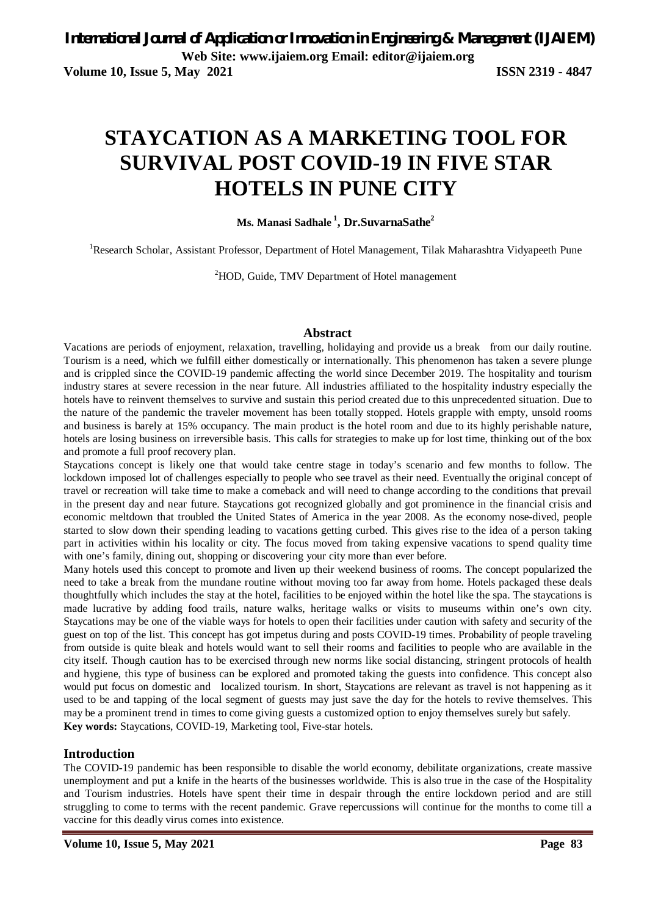# **STAYCATION AS A MARKETING TOOL FOR SURVIVAL POST COVID-19 IN FIVE STAR HOTELS IN PUNE CITY**

**Ms. Manasi Sadhale <sup>1</sup> , Dr.SuvarnaSathe<sup>2</sup>**

<sup>1</sup>Research Scholar, Assistant Professor, Department of Hotel Management, Tilak Maharashtra Vidyapeeth Pune

<sup>2</sup>HOD, Guide, TMV Department of Hotel management

#### **Abstract**

Vacations are periods of enjoyment, relaxation, travelling, holidaying and provide us a break from our daily routine. Tourism is a need, which we fulfill either domestically or internationally. This phenomenon has taken a severe plunge and is crippled since the COVID-19 pandemic affecting the world since December 2019. The hospitality and tourism industry stares at severe recession in the near future. All industries affiliated to the hospitality industry especially the hotels have to reinvent themselves to survive and sustain this period created due to this unprecedented situation. Due to the nature of the pandemic the traveler movement has been totally stopped. Hotels grapple with empty, unsold rooms and business is barely at 15% occupancy. The main product is the hotel room and due to its highly perishable nature, hotels are losing business on irreversible basis. This calls for strategies to make up for lost time, thinking out of the box and promote a full proof recovery plan.

Staycations concept is likely one that would take centre stage in today's scenario and few months to follow. The lockdown imposed lot of challenges especially to people who see travel as their need. Eventually the original concept of travel or recreation will take time to make a comeback and will need to change according to the conditions that prevail in the present day and near future. Staycations got recognized globally and got prominence in the financial crisis and economic meltdown that troubled the United States of America in the year 2008. As the economy nose-dived, people started to slow down their spending leading to vacations getting curbed. This gives rise to the idea of a person taking part in activities within his locality or city. The focus moved from taking expensive vacations to spend quality time with one's family, dining out, shopping or discovering your city more than ever before.

Many hotels used this concept to promote and liven up their weekend business of rooms. The concept popularized the need to take a break from the mundane routine without moving too far away from home. Hotels packaged these deals thoughtfully which includes the stay at the hotel, facilities to be enjoyed within the hotel like the spa. The staycations is made lucrative by adding food trails, nature walks, heritage walks or visits to museums within one's own city. Staycations may be one of the viable ways for hotels to open their facilities under caution with safety and security of the guest on top of the list. This concept has got impetus during and posts COVID-19 times. Probability of people traveling from outside is quite bleak and hotels would want to sell their rooms and facilities to people who are available in the city itself. Though caution has to be exercised through new norms like social distancing, stringent protocols of health and hygiene, this type of business can be explored and promoted taking the guests into confidence. This concept also would put focus on domestic and localized tourism. In short, Staycations are relevant as travel is not happening as it used to be and tapping of the local segment of guests may just save the day for the hotels to revive themselves. This may be a prominent trend in times to come giving guests a customized option to enjoy themselves surely but safely. **Key words:** Staycations, COVID-19, Marketing tool, Five-star hotels.

#### **Introduction**

The COVID-19 pandemic has been responsible to disable the world economy, debilitate organizations, create massive unemployment and put a knife in the hearts of the businesses worldwide. This is also true in the case of the Hospitality and Tourism industries. Hotels have spent their time in despair through the entire lockdown period and are still struggling to come to terms with the recent pandemic. Grave repercussions will continue for the months to come till a vaccine for this deadly virus comes into existence.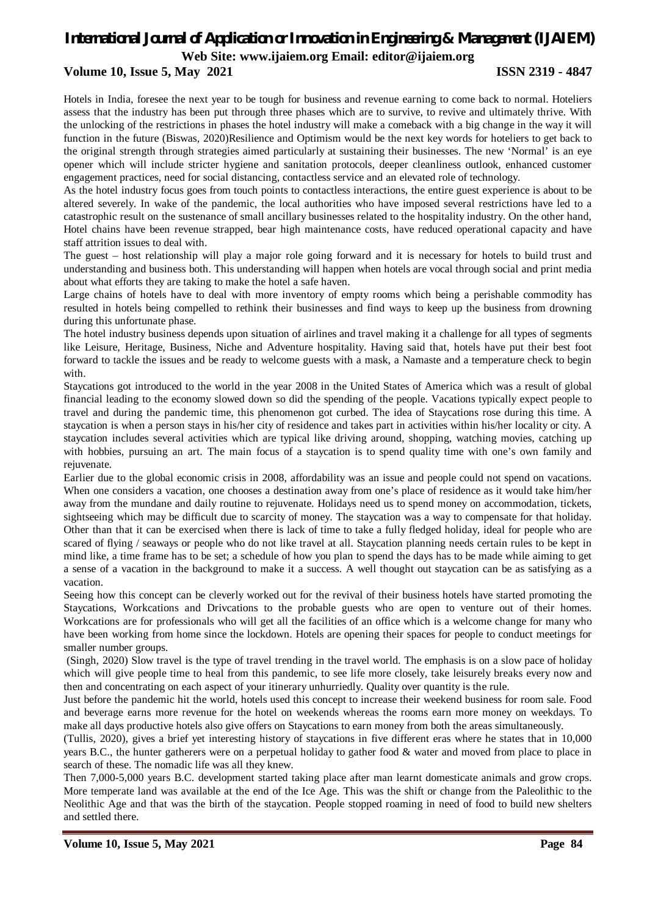**Web Site: www.ijaiem.org Email: editor@ijaiem.org**

#### **Volume 10, Issue 5, May 2021 ISSN 2319 - 4847**

Hotels in India, foresee the next year to be tough for business and revenue earning to come back to normal. Hoteliers assess that the industry has been put through three phases which are to survive, to revive and ultimately thrive. With the unlocking of the restrictions in phases the hotel industry will make a comeback with a big change in the way it will function in the future (Biswas, 2020)Resilience and Optimism would be the next key words for hoteliers to get back to the original strength through strategies aimed particularly at sustaining their businesses. The new 'Normal' is an eye opener which will include stricter hygiene and sanitation protocols, deeper cleanliness outlook, enhanced customer engagement practices, need for social distancing, contactless service and an elevated role of technology.

As the hotel industry focus goes from touch points to contactless interactions, the entire guest experience is about to be altered severely. In wake of the pandemic, the local authorities who have imposed several restrictions have led to a catastrophic result on the sustenance of small ancillary businesses related to the hospitality industry. On the other hand, Hotel chains have been revenue strapped, bear high maintenance costs, have reduced operational capacity and have staff attrition issues to deal with.

The guest – host relationship will play a major role going forward and it is necessary for hotels to build trust and understanding and business both. This understanding will happen when hotels are vocal through social and print media about what efforts they are taking to make the hotel a safe haven.

Large chains of hotels have to deal with more inventory of empty rooms which being a perishable commodity has resulted in hotels being compelled to rethink their businesses and find ways to keep up the business from drowning during this unfortunate phase.

The hotel industry business depends upon situation of airlines and travel making it a challenge for all types of segments like Leisure, Heritage, Business, Niche and Adventure hospitality. Having said that, hotels have put their best foot forward to tackle the issues and be ready to welcome guests with a mask, a Namaste and a temperature check to begin with.

Staycations got introduced to the world in the year 2008 in the United States of America which was a result of global financial leading to the economy slowed down so did the spending of the people. Vacations typically expect people to travel and during the pandemic time, this phenomenon got curbed. The idea of Staycations rose during this time. A staycation is when a person stays in his/her city of residence and takes part in activities within his/her locality or city. A staycation includes several activities which are typical like driving around, shopping, watching movies, catching up with hobbies, pursuing an art. The main focus of a staycation is to spend quality time with one's own family and rejuvenate.

Earlier due to the global economic crisis in 2008, affordability was an issue and people could not spend on vacations. When one considers a vacation, one chooses a destination away from one's place of residence as it would take him/her away from the mundane and daily routine to rejuvenate. Holidays need us to spend money on accommodation, tickets, sightseeing which may be difficult due to scarcity of money. The staycation was a way to compensate for that holiday. Other than that it can be exercised when there is lack of time to take a fully fledged holiday, ideal for people who are scared of flying / seaways or people who do not like travel at all. Staycation planning needs certain rules to be kept in mind like, a time frame has to be set; a schedule of how you plan to spend the days has to be made while aiming to get a sense of a vacation in the background to make it a success. A well thought out staycation can be as satisfying as a vacation.

Seeing how this concept can be cleverly worked out for the revival of their business hotels have started promoting the Staycations, Workcations and Drivcations to the probable guests who are open to venture out of their homes. Workcations are for professionals who will get all the facilities of an office which is a welcome change for many who have been working from home since the lockdown. Hotels are opening their spaces for people to conduct meetings for smaller number groups.

(Singh, 2020) Slow travel is the type of travel trending in the travel world. The emphasis is on a slow pace of holiday which will give people time to heal from this pandemic, to see life more closely, take leisurely breaks every now and then and concentrating on each aspect of your itinerary unhurriedly. Quality over quantity is the rule.

Just before the pandemic hit the world, hotels used this concept to increase their weekend business for room sale. Food and beverage earns more revenue for the hotel on weekends whereas the rooms earn more money on weekdays. To make all days productive hotels also give offers on Staycations to earn money from both the areas simultaneously.

(Tullis, 2020), gives a brief yet interesting history of staycations in five different eras where he states that in 10,000 years B.C., the hunter gatherers were on a perpetual holiday to gather food & water and moved from place to place in search of these. The nomadic life was all they knew.

Then 7,000-5,000 years B.C. development started taking place after man learnt domesticate animals and grow crops. More temperate land was available at the end of the Ice Age. This was the shift or change from the Paleolithic to the Neolithic Age and that was the birth of the staycation. People stopped roaming in need of food to build new shelters and settled there.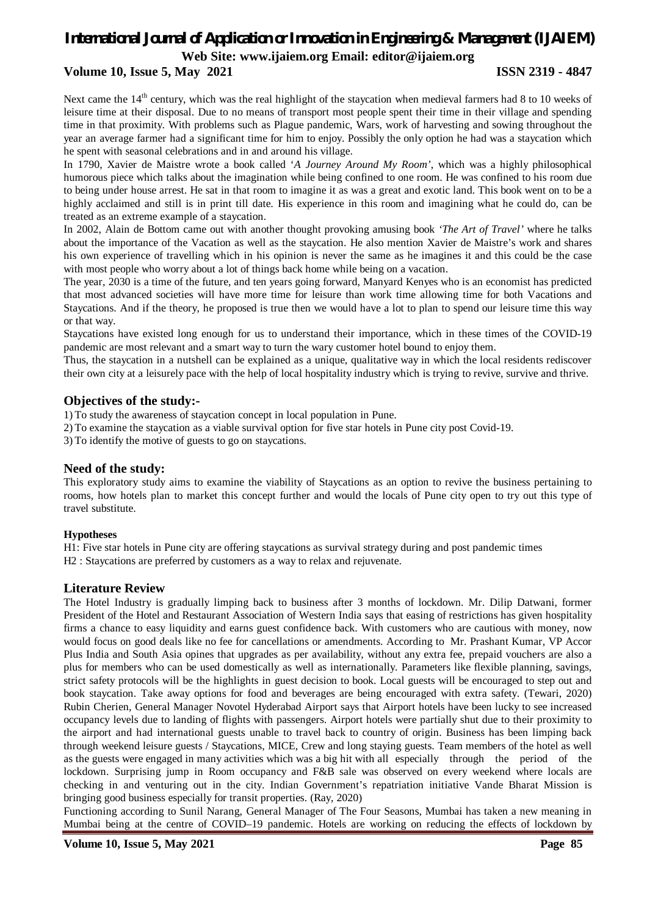**Web Site: www.ijaiem.org Email: editor@ijaiem.org**

#### **Volume 10, Issue 5, May 2021 ISSN 2319 - 4847**

Next came the 14<sup>th</sup> century, which was the real highlight of the staycation when medieval farmers had 8 to 10 weeks of leisure time at their disposal. Due to no means of transport most people spent their time in their village and spending time in that proximity. With problems such as Plague pandemic, Wars, work of harvesting and sowing throughout the year an average farmer had a significant time for him to enjoy. Possibly the only option he had was a staycation which he spent with seasonal celebrations and in and around his village.

In 1790, Xavier de Maistre wrote a book called '*A Journey Around My Room'*, which was a highly philosophical humorous piece which talks about the imagination while being confined to one room. He was confined to his room due to being under house arrest. He sat in that room to imagine it as was a great and exotic land. This book went on to be a highly acclaimed and still is in print till date. His experience in this room and imagining what he could do, can be treated as an extreme example of a staycation.

In 2002, Alain de Bottom came out with another thought provoking amusing book *'The Art of Travel'* where he talks about the importance of the Vacation as well as the staycation. He also mention Xavier de Maistre's work and shares his own experience of travelling which in his opinion is never the same as he imagines it and this could be the case with most people who worry about a lot of things back home while being on a vacation.

The year, 2030 is a time of the future, and ten years going forward, Manyard Kenyes who is an economist has predicted that most advanced societies will have more time for leisure than work time allowing time for both Vacations and Staycations. And if the theory, he proposed is true then we would have a lot to plan to spend our leisure time this way or that way.

Staycations have existed long enough for us to understand their importance, which in these times of the COVID-19 pandemic are most relevant and a smart way to turn the wary customer hotel bound to enjoy them.

Thus, the staycation in a nutshell can be explained as a unique, qualitative way in which the local residents rediscover their own city at a leisurely pace with the help of local hospitality industry which is trying to revive, survive and thrive.

#### **Objectives of the study:-**

1) To study the awareness of staycation concept in local population in Pune.

2) To examine the staycation as a viable survival option for five star hotels in Pune city post Covid-19.

3) To identify the motive of guests to go on staycations.

#### **Need of the study:**

This exploratory study aims to examine the viability of Staycations as an option to revive the business pertaining to rooms, how hotels plan to market this concept further and would the locals of Pune city open to try out this type of travel substitute.

#### **Hypotheses**

H1: Five star hotels in Pune city are offering staycations as survival strategy during and post pandemic times H2 : Staycations are preferred by customers as a way to relax and rejuvenate.

#### **Literature Review**

The Hotel Industry is gradually limping back to business after 3 months of lockdown. Mr. Dilip Datwani, former President of the Hotel and Restaurant Association of Western India says that easing of restrictions has given hospitality firms a chance to easy liquidity and earns guest confidence back. With customers who are cautious with money, now would focus on good deals like no fee for cancellations or amendments. According to Mr. Prashant Kumar, VP Accor Plus India and South Asia opines that upgrades as per availability, without any extra fee, prepaid vouchers are also a plus for members who can be used domestically as well as internationally. Parameters like flexible planning, savings, strict safety protocols will be the highlights in guest decision to book. Local guests will be encouraged to step out and book staycation. Take away options for food and beverages are being encouraged with extra safety. (Tewari, 2020) Rubin Cherien, General Manager Novotel Hyderabad Airport says that Airport hotels have been lucky to see increased occupancy levels due to landing of flights with passengers. Airport hotels were partially shut due to their proximity to the airport and had international guests unable to travel back to country of origin. Business has been limping back through weekend leisure guests / Staycations, MICE, Crew and long staying guests. Team members of the hotel as well as the guests were engaged in many activities which was a big hit with all especially through the period of the lockdown. Surprising jump in Room occupancy and F&B sale was observed on every weekend where locals are checking in and venturing out in the city. Indian Government's repatriation initiative Vande Bharat Mission is bringing good business especially for transit properties. (Ray, 2020)

Functioning according to Sunil Narang, General Manager of The Four Seasons, Mumbai has taken a new meaning in Mumbai being at the centre of COVID–19 pandemic. Hotels are working on reducing the effects of lockdown by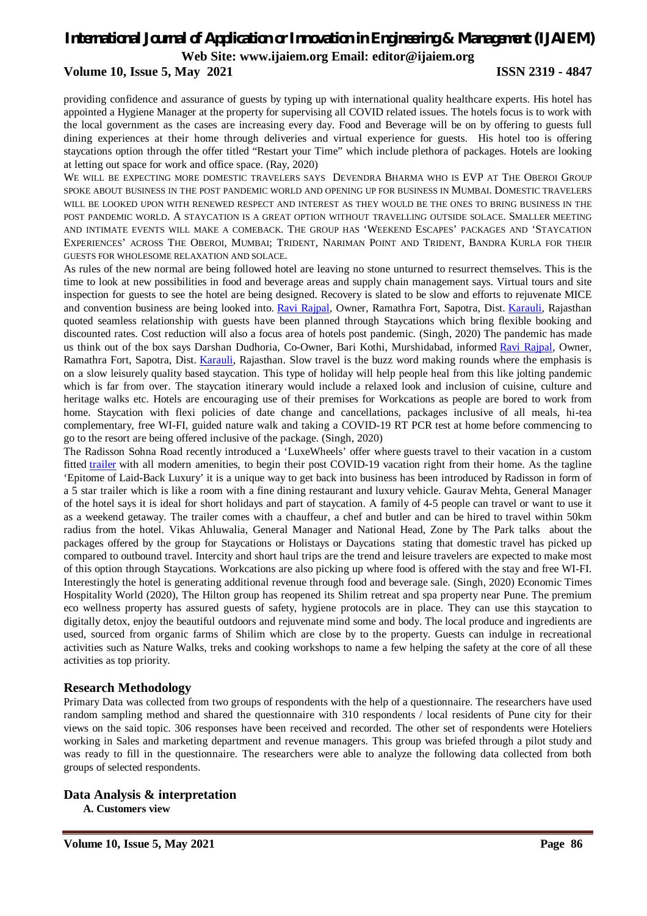**Web Site: www.ijaiem.org Email: editor@ijaiem.org**

#### **Volume 10, Issue 5, May 2021 ISSN 2319 - 4847**

providing confidence and assurance of guests by typing up with international quality healthcare experts. His hotel has appointed a Hygiene Manager at the property for supervising all COVID related issues. The hotels focus is to work with the local government as the cases are increasing every day. Food and Beverage will be on by offering to guests full dining experiences at their home through deliveries and virtual experience for guests. His hotel too is offering staycations option through the offer titled "Restart your Time" which include plethora of packages. Hotels are looking at letting out space for work and office space. (Ray, 2020)

WE WILL BE EXPECTING MORE DOMESTIC TRAVELERS SAYS DEVENDRA BHARMA WHO IS EVP AT THE OBEROI GROUP SPOKE ABOUT BUSINESS IN THE POST PANDEMIC WORLD AND OPENING UP FOR BUSINESS IN MUMBAI. DOMESTIC TRAVELERS WILL BE LOOKED UPON WITH RENEWED RESPECT AND INTEREST AS THEY WOULD BE THE ONES TO BRING BUSINESS IN THE POST PANDEMIC WORLD. A STAYCATION IS A GREAT OPTION WITHOUT TRAVELLING OUTSIDE SOLACE. SMALLER MEETING AND INTIMATE EVENTS WILL MAKE A COMEBACK. THE GROUP HAS 'WEEKEND ESCAPES' PACKAGES AND 'STAYCATION EXPERIENCES' ACROSS THE OBEROI, MUMBAI; TRIDENT, NARIMAN POINT AND TRIDENT, BANDRA KURLA FOR THEIR GUESTS FOR WHOLESOME RELAXATION AND SOLACE.

As rules of the new normal are being followed hotel are leaving no stone unturned to resurrect themselves. This is the time to look at new possibilities in food and beverage areas and supply chain management says. Virtual tours and site inspection for guests to see the hotel are being designed. Recovery is slated to be slow and efforts to rejuvenate MICE and convention business are being looked into. Ravi Rajpal, Owner, Ramathra Fort, Sapotra, Dist. Karauli, Rajasthan quoted seamless relationship with guests have been planned through Staycations which bring flexible booking and discounted rates. Cost reduction will also a focus area of hotels post pandemic. (Singh, 2020) The pandemic has made us think out of the box says Darshan Dudhoria, Co-Owner, Bari Kothi, Murshidabad, informed Ravi Rajpal, Owner, Ramathra Fort, Sapotra, Dist. Karauli, Rajasthan. Slow travel is the buzz word making rounds where the emphasis is on a slow leisurely quality based staycation. This type of holiday will help people heal from this like jolting pandemic which is far from over. The staycation itinerary would include a relaxed look and inclusion of cuisine, culture and heritage walks etc. Hotels are encouraging use of their premises for Workcations as people are bored to work from home. Staycation with flexi policies of date change and cancellations, packages inclusive of all meals, hi-tea complementary, free WI-FI, guided nature walk and taking a COVID-19 RT PCR test at home before commencing to go to the resort are being offered inclusive of the package. (Singh, 2020)

The Radisson Sohna Road recently introduced a 'LuxeWheels' offer where guests travel to their vacation in a custom fitted trailer with all modern amenities, to begin their post COVID-19 vacation right from their home. As the tagline 'Epitome of Laid-Back Luxury' it is a unique way to get back into business has been introduced by Radisson in form of a 5 star trailer which is like a room with a fine dining restaurant and luxury vehicle. Gaurav Mehta, General Manager of the hotel says it is ideal for short holidays and part of staycation. A family of 4-5 people can travel or want to use it as a weekend getaway. The trailer comes with a chauffeur, a chef and butler and can be hired to travel within 50km radius from the hotel. Vikas Ahluwalia, General Manager and National Head, Zone by The Park talks about the packages offered by the group for Staycations or Holistays or Daycations stating that domestic travel has picked up compared to outbound travel. Intercity and short haul trips are the trend and leisure travelers are expected to make most of this option through Staycations. Workcations are also picking up where food is offered with the stay and free WI-FI. Interestingly the hotel is generating additional revenue through food and beverage sale. (Singh, 2020) Economic Times Hospitality World (2020), The Hilton group has reopened its Shilim retreat and spa property near Pune. The premium eco wellness property has assured guests of safety, hygiene protocols are in place. They can use this staycation to digitally detox, enjoy the beautiful outdoors and rejuvenate mind some and body. The local produce and ingredients are used, sourced from organic farms of Shilim which are close by to the property. Guests can indulge in recreational activities such as Nature Walks, treks and cooking workshops to name a few helping the safety at the core of all these activities as top priority.

#### **Research Methodology**

Primary Data was collected from two groups of respondents with the help of a questionnaire. The researchers have used random sampling method and shared the questionnaire with 310 respondents / local residents of Pune city for their views on the said topic. 306 responses have been received and recorded. The other set of respondents were Hoteliers working in Sales and marketing department and revenue managers. This group was briefed through a pilot study and was ready to fill in the questionnaire. The researchers were able to analyze the following data collected from both groups of selected respondents.

#### **Data Analysis & interpretation**

**A. Customers view**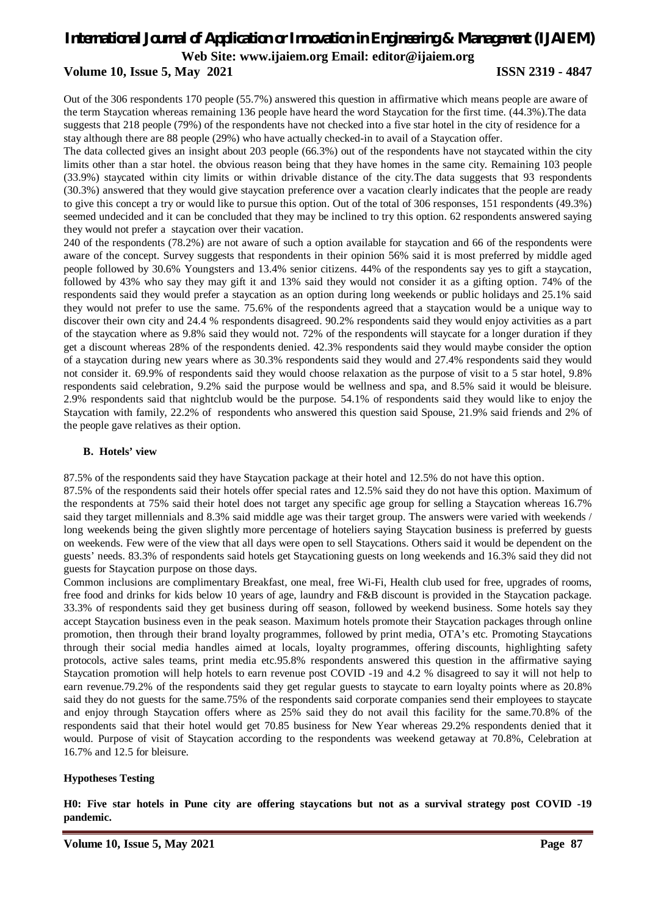#### **Volume 10, Issue 5, May 2021 ISSN 2319 - 4847**

Out of the 306 respondents 170 people (55.7%) answered this question in affirmative which means people are aware of the term Staycation whereas remaining 136 people have heard the word Staycation for the first time. (44.3%).The data suggests that 218 people (79%) of the respondents have not checked into a five star hotel in the city of residence for a stay although there are 88 people (29%) who have actually checked-in to avail of a Staycation offer.

The data collected gives an insight about 203 people (66.3%) out of the respondents have not staycated within the city limits other than a star hotel. the obvious reason being that they have homes in the same city. Remaining 103 people (33.9%) staycated within city limits or within drivable distance of the city.The data suggests that 93 respondents (30.3%) answered that they would give staycation preference over a vacation clearly indicates that the people are ready to give this concept a try or would like to pursue this option. Out of the total of 306 responses, 151 respondents (49.3%) seemed undecided and it can be concluded that they may be inclined to try this option. 62 respondents answered saying they would not prefer a staycation over their vacation.

240 of the respondents (78.2%) are not aware of such a option available for staycation and 66 of the respondents were aware of the concept. Survey suggests that respondents in their opinion 56% said it is most preferred by middle aged people followed by 30.6% Youngsters and 13.4% senior citizens. 44% of the respondents say yes to gift a staycation, followed by 43% who say they may gift it and 13% said they would not consider it as a gifting option. 74% of the respondents said they would prefer a staycation as an option during long weekends or public holidays and 25.1% said they would not prefer to use the same. 75.6% of the respondents agreed that a staycation would be a unique way to discover their own city and 24.4 % respondents disagreed. 90.2% respondents said they would enjoy activities as a part of the staycation where as 9.8% said they would not. 72% of the respondents will staycate for a longer duration if they get a discount whereas 28% of the respondents denied. 42.3% respondents said they would maybe consider the option of a staycation during new years where as 30.3% respondents said they would and 27.4% respondents said they would not consider it. 69.9% of respondents said they would choose relaxation as the purpose of visit to a 5 star hotel, 9.8% respondents said celebration, 9.2% said the purpose would be wellness and spa, and 8.5% said it would be bleisure. 2.9% respondents said that nightclub would be the purpose. 54.1% of respondents said they would like to enjoy the Staycation with family, 22.2% of respondents who answered this question said Spouse, 21.9% said friends and 2% of the people gave relatives as their option.

#### **B. Hotels' view**

87.5% of the respondents said they have Staycation package at their hotel and 12.5% do not have this option.

87.5% of the respondents said their hotels offer special rates and 12.5% said they do not have this option. Maximum of the respondents at 75% said their hotel does not target any specific age group for selling a Staycation whereas 16.7% said they target millennials and 8.3% said middle age was their target group. The answers were varied with weekends / long weekends being the given slightly more percentage of hoteliers saying Staycation business is preferred by guests on weekends. Few were of the view that all days were open to sell Staycations. Others said it would be dependent on the guests' needs. 83.3% of respondents said hotels get Staycationing guests on long weekends and 16.3% said they did not guests for Staycation purpose on those days.

Common inclusions are complimentary Breakfast, one meal, free Wi-Fi, Health club used for free, upgrades of rooms, free food and drinks for kids below 10 years of age, laundry and F&B discount is provided in the Staycation package. 33.3% of respondents said they get business during off season, followed by weekend business. Some hotels say they accept Staycation business even in the peak season. Maximum hotels promote their Staycation packages through online promotion, then through their brand loyalty programmes, followed by print media, OTA's etc. Promoting Staycations through their social media handles aimed at locals, loyalty programmes, offering discounts, highlighting safety protocols, active sales teams, print media etc.95.8% respondents answered this question in the affirmative saying Staycation promotion will help hotels to earn revenue post COVID -19 and 4.2 % disagreed to say it will not help to earn revenue.79.2% of the respondents said they get regular guests to staycate to earn loyalty points where as 20.8% said they do not guests for the same.75% of the respondents said corporate companies send their employees to staycate and enjoy through Staycation offers where as 25% said they do not avail this facility for the same.70.8% of the respondents said that their hotel would get 70.85 business for New Year whereas 29.2% respondents denied that it would. Purpose of visit of Staycation according to the respondents was weekend getaway at 70.8%, Celebration at 16.7% and 12.5 for bleisure.

#### **Hypotheses Testing**

**H0: Five star hotels in Pune city are offering staycations but not as a survival strategy post COVID -19 pandemic.**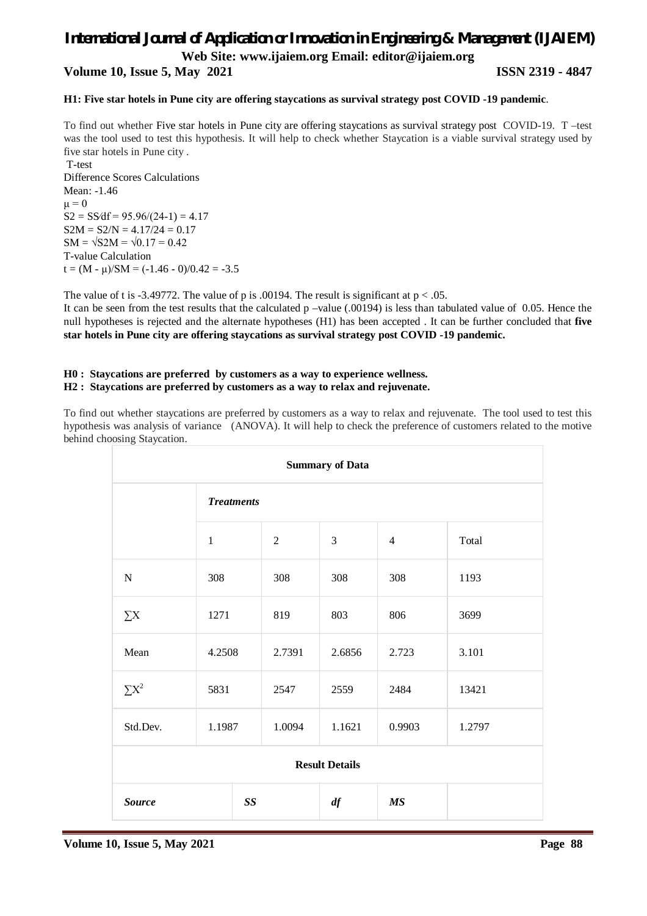**Web Site: www.ijaiem.org Email: editor@ijaiem.org**

**Volume 10, Issue 5, May 2021 ISSN 2319 - 4847**

#### **H1: Five star hotels in Pune city are offering staycations as survival strategy post COVID -19 pandemic**.

To find out whether Five star hotels in Pune city are offering staycations as survival strategy post COVID-19. T –test was the tool used to test this hypothesis. It will help to check whether Staycation is a viable survival strategy used by five star hotels in Pune city .

T-test Difference Scores Calculations Mean: -1.46  $\mu = 0$  $S2 = SS/df = 95.96/(24-1) = 4.17$  $S2M = S2/N = 4.17/24 = 0.17$  $SM = \sqrt{S2M} = \sqrt{0.17} = 0.42$ T-value Calculation  $t = (M - \mu)/SM = (-1.46 - 0)/0.42 = -3.5$ 

The value of t is -3.49772. The value of p is .00194. The result is significant at  $p < .05$ .

It can be seen from the test results that the calculated p –value (.00194) is less than tabulated value of 0.05. Hence the null hypotheses is rejected and the alternate hypotheses (H1) has been accepted . It can be further concluded that **five star hotels in Pune city are offering staycations as survival strategy post COVID -19 pandemic.**

#### **H0 : Staycations are preferred by customers as a way to experience wellness. H2 : Staycations are preferred by customers as a way to relax and rejuvenate.**

To find out whether staycations are preferred by customers as a way to relax and rejuvenate. The tool used to test this hypothesis was analysis of variance (ANOVA). It will help to check the preference of customers related to the motive behind choosing Staycation.

| <b>Summary of Data</b> |                                |                |        |                 |        |  |
|------------------------|--------------------------------|----------------|--------|-----------------|--------|--|
|                        | <b>Treatments</b>              |                |        |                 |        |  |
|                        | $\mathbf{1}$                   | $\overline{2}$ | 3      | $\overline{4}$  | Total  |  |
| $\mathbf N$            | 308                            | 308            | 308    | 308             | 1193   |  |
| $\sum X$               | 1271                           | 819            | 803    | 806             | 3699   |  |
| Mean                   | 4.2508                         | 2.7391         | 2.6856 | 2.723           | 3.101  |  |
| $\Sigma X^2$           | 5831                           | 2547           | 2559   | 2484            | 13421  |  |
| Std.Dev.               | 1.1987                         | 1.0094         | 1.1621 | 0.9903          | 1.2797 |  |
| <b>Result Details</b>  |                                |                |        |                 |        |  |
| <b>Source</b>          | $\boldsymbol{S}\boldsymbol{S}$ |                | df     | $\overline{MS}$ |        |  |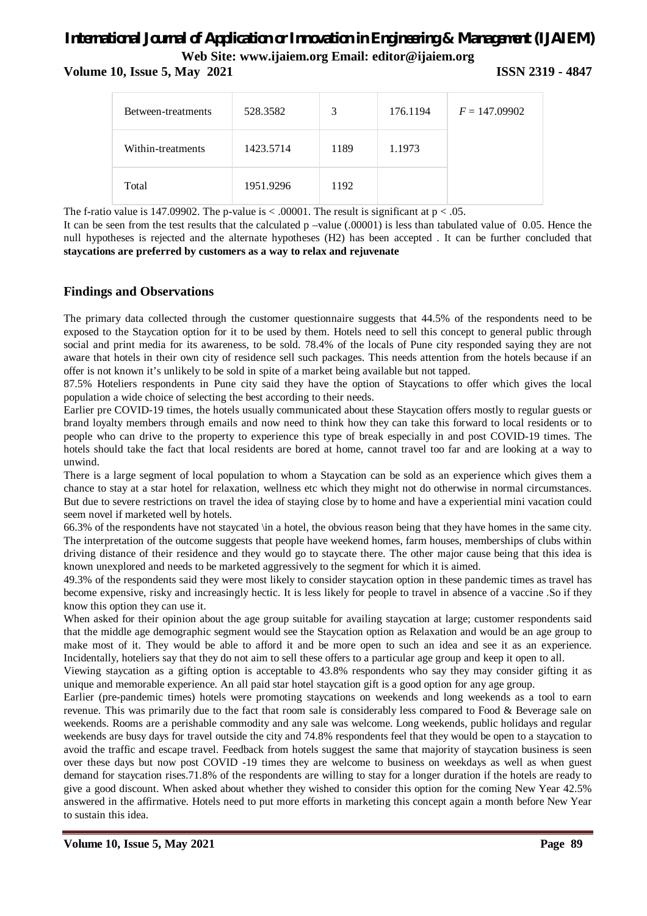**Volume 10, Issue 5, May 2021 ISSN 2319 - 4847** 

| Between-treatments | 528.3582  | 3    | 176.1194 | $F = 147.09902$ |
|--------------------|-----------|------|----------|-----------------|
| Within-treatments  | 1423.5714 | 1189 | 1.1973   |                 |
| Total              | 1951.9296 | 1192 |          |                 |

The f-ratio value is 147.09902. The p-value is  $\lt$  .00001. The result is significant at  $p \lt 0.05$ .

It can be seen from the test results that the calculated p –value (.00001) is less than tabulated value of 0.05. Hence the null hypotheses is rejected and the alternate hypotheses (H2) has been accepted . It can be further concluded that **staycations are preferred by customers as a way to relax and rejuvenate**

### **Findings and Observations**

The primary data collected through the customer questionnaire suggests that 44.5% of the respondents need to be exposed to the Staycation option for it to be used by them. Hotels need to sell this concept to general public through social and print media for its awareness, to be sold. 78.4% of the locals of Pune city responded saying they are not aware that hotels in their own city of residence sell such packages. This needs attention from the hotels because if an offer is not known it's unlikely to be sold in spite of a market being available but not tapped.

87.5% Hoteliers respondents in Pune city said they have the option of Staycations to offer which gives the local population a wide choice of selecting the best according to their needs.

Earlier pre COVID-19 times, the hotels usually communicated about these Staycation offers mostly to regular guests or brand loyalty members through emails and now need to think how they can take this forward to local residents or to people who can drive to the property to experience this type of break especially in and post COVID-19 times. The hotels should take the fact that local residents are bored at home, cannot travel too far and are looking at a way to unwind.

There is a large segment of local population to whom a Staycation can be sold as an experience which gives them a chance to stay at a star hotel for relaxation, wellness etc which they might not do otherwise in normal circumstances. But due to severe restrictions on travel the idea of staying close by to home and have a experiential mini vacation could seem novel if marketed well by hotels.

66.3% of the respondents have not staycated \in a hotel, the obvious reason being that they have homes in the same city. The interpretation of the outcome suggests that people have weekend homes, farm houses, memberships of clubs within driving distance of their residence and they would go to staycate there. The other major cause being that this idea is known unexplored and needs to be marketed aggressively to the segment for which it is aimed.

49.3% of the respondents said they were most likely to consider staycation option in these pandemic times as travel has become expensive, risky and increasingly hectic. It is less likely for people to travel in absence of a vaccine .So if they know this option they can use it.

When asked for their opinion about the age group suitable for availing staycation at large; customer respondents said that the middle age demographic segment would see the Staycation option as Relaxation and would be an age group to make most of it. They would be able to afford it and be more open to such an idea and see it as an experience. Incidentally, hoteliers say that they do not aim to sell these offers to a particular age group and keep it open to all.

Viewing staycation as a gifting option is acceptable to 43.8% respondents who say they may consider gifting it as unique and memorable experience. An all paid star hotel staycation gift is a good option for any age group.

Earlier (pre-pandemic times) hotels were promoting staycations on weekends and long weekends as a tool to earn revenue. This was primarily due to the fact that room sale is considerably less compared to Food & Beverage sale on weekends. Rooms are a perishable commodity and any sale was welcome. Long weekends, public holidays and regular weekends are busy days for travel outside the city and 74.8% respondents feel that they would be open to a staycation to avoid the traffic and escape travel. Feedback from hotels suggest the same that majority of staycation business is seen over these days but now post COVID -19 times they are welcome to business on weekdays as well as when guest demand for staycation rises.71.8% of the respondents are willing to stay for a longer duration if the hotels are ready to give a good discount. When asked about whether they wished to consider this option for the coming New Year 42.5% answered in the affirmative. Hotels need to put more efforts in marketing this concept again a month before New Year to sustain this idea.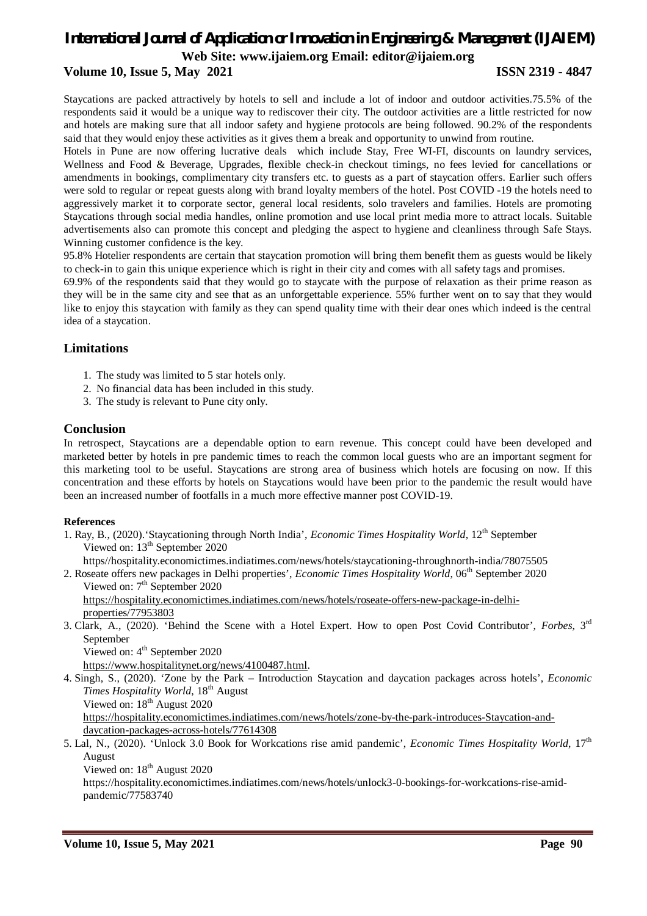### **Volume 10, Issue 5, May 2021 ISSN 2319 - 4847**

Staycations are packed attractively by hotels to sell and include a lot of indoor and outdoor activities.75.5% of the respondents said it would be a unique way to rediscover their city. The outdoor activities are a little restricted for now and hotels are making sure that all indoor safety and hygiene protocols are being followed. 90.2% of the respondents said that they would enjoy these activities as it gives them a break and opportunity to unwind from routine.

Hotels in Pune are now offering lucrative deals which include Stay, Free WI-FI, discounts on laundry services, Wellness and Food & Beverage, Upgrades, flexible check-in checkout timings, no fees levied for cancellations or amendments in bookings, complimentary city transfers etc. to guests as a part of staycation offers. Earlier such offers were sold to regular or repeat guests along with brand loyalty members of the hotel. Post COVID -19 the hotels need to aggressively market it to corporate sector, general local residents, solo travelers and families. Hotels are promoting Staycations through social media handles, online promotion and use local print media more to attract locals. Suitable advertisements also can promote this concept and pledging the aspect to hygiene and cleanliness through Safe Stays. Winning customer confidence is the key.

95.8% Hotelier respondents are certain that staycation promotion will bring them benefit them as guests would be likely to check-in to gain this unique experience which is right in their city and comes with all safety tags and promises.

69.9% of the respondents said that they would go to staycate with the purpose of relaxation as their prime reason as they will be in the same city and see that as an unforgettable experience. 55% further went on to say that they would like to enjoy this staycation with family as they can spend quality time with their dear ones which indeed is the central idea of a staycation.

#### **Limitations**

- 1. The study was limited to 5 star hotels only.
- 2. No financial data has been included in this study.
- 3. The study is relevant to Pune city only.

#### **Conclusion**

In retrospect, Staycations are a dependable option to earn revenue. This concept could have been developed and marketed better by hotels in pre pandemic times to reach the common local guests who are an important segment for this marketing tool to be useful. Staycations are strong area of business which hotels are focusing on now. If this concentration and these efforts by hotels on Staycations would have been prior to the pandemic the result would have been an increased number of footfalls in a much more effective manner post COVID-19.

#### **References**

1. Ray, B., (2020).'Staycationing through North India', *Economic Times Hospitality World*, 12th September Viewed on: 13<sup>th</sup> September 2020

https//hospitality.economictimes.indiatimes.com/news/hotels/staycationing-throughnorth-india/78075505

2. Roseate offers new packages in Delhi properties', *Economic Times Hospitality World*, 06<sup>th</sup> September 2020 Viewed on: 7<sup>th</sup> September 2020

https://hospitality.economictimes.indiatimes.com/news/hotels/roseate-offers-new-package-in-delhiproperties/77953803

- 3. Clark, A., (2020). 'Behind the Scene with a Hotel Expert. How to open Post Covid Contributor', *Forbes*, 3rd September
	- Viewed on: 4<sup>th</sup> September 2020

https://www.hospitalitynet.org/news/4100487.html.

4. Singh, S., (2020). 'Zone by the Park – Introduction Staycation and daycation packages across hotels', *Economic Times Hospitality World*, 18<sup>th</sup> August Viewed on: 18<sup>th</sup> August 2020 https://hospitality.economictimes.indiatimes.com/news/hotels/zone-by-the-park-introduces-Staycation-anddaycation-packages-across-hotels/77614308

5. Lal, N., (2020). 'Unlock 3.0 Book for Workcations rise amid pandemic', *Economic Times Hospitality World*, 17th August

Viewed on: 18<sup>th</sup> August 2020

https://hospitality.economictimes.indiatimes.com/news/hotels/unlock3-0-bookings-for-workcations-rise-amidpandemic/77583740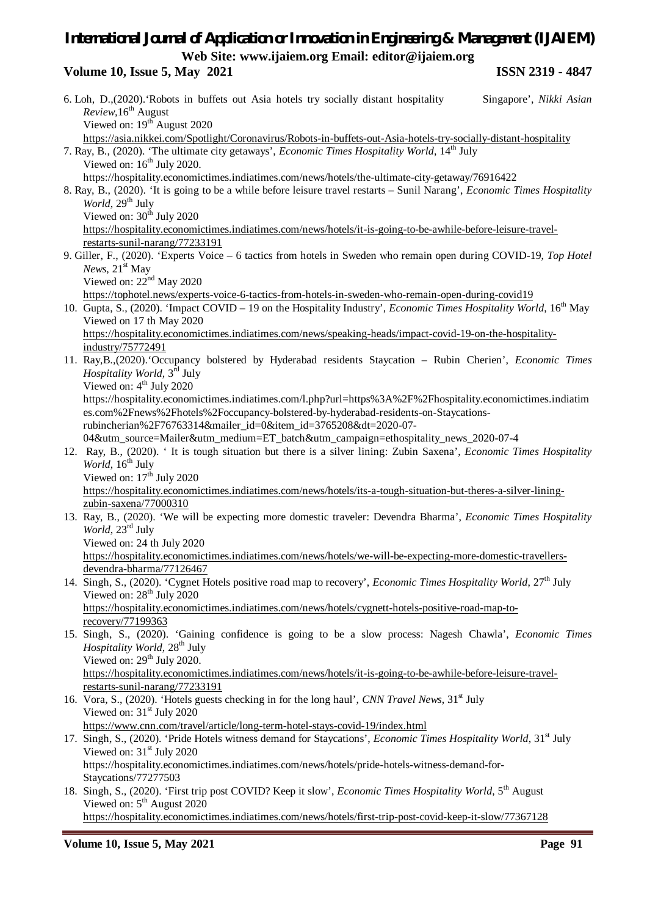### **Volume 10, Issue 5, May 2021 ISSN 2319 - 4847**

|                                 | 6. Loh, D., (2020). Robots in buffets out Asia hotels try socially distant hospitality<br>Singapore', Nikki Asian                        |  |  |  |  |
|---------------------------------|------------------------------------------------------------------------------------------------------------------------------------------|--|--|--|--|
| Review, 16 <sup>th</sup> August |                                                                                                                                          |  |  |  |  |
|                                 | Viewed on: $19th$ August 2020                                                                                                            |  |  |  |  |
|                                 | https://asia.nikkei.com/Spotlight/Coronavirus/Robots-in-buffets-out-Asia-hotels-try-socially-distant-hospitality                         |  |  |  |  |
|                                 | 7. Ray, B., (2020). 'The ultimate city getaways', <i>Economic Times Hospitality World</i> , 14 <sup>th</sup> July                        |  |  |  |  |
|                                 | Viewed on: $16th$ July 2020.                                                                                                             |  |  |  |  |
|                                 | https://hospitality.economictimes.indiatimes.com/news/hotels/the-ultimate-city-getaway/76916422                                          |  |  |  |  |
|                                 | 8. Ray, B., (2020). 'It is going to be a while before leisure travel restarts – Sunil Narang', Economic Times Hospitality                |  |  |  |  |
|                                 | World, 29 <sup>th</sup> July                                                                                                             |  |  |  |  |
|                                 | Viewed on: 30 <sup>th</sup> July 2020                                                                                                    |  |  |  |  |
|                                 | https://hospitality.economictimes.indiatimes.com/news/hotels/it-is-going-to-be-awhile-before-leisure-travel-                             |  |  |  |  |
|                                 | restarts-sunil-narang/77233191                                                                                                           |  |  |  |  |
|                                 | 9. Giller, F., (2020). 'Experts Voice – 6 tactics from hotels in Sweden who remain open during COVID-19, Top Hotel                       |  |  |  |  |
|                                 | <i>News</i> , $21st$ May                                                                                                                 |  |  |  |  |
|                                 | Viewed on: 22 <sup>nd</sup> May 2020                                                                                                     |  |  |  |  |
|                                 | https://tophotel.news/experts-voice-6-tactics-from-hotels-in-sweden-who-remain-open-during-covid19                                       |  |  |  |  |
|                                 | 10. Gupta, S., (2020). 'Impact COVID – 19 on the Hospitality Industry', <i>Economic Times Hospitality World</i> , 16 <sup>th</sup> May   |  |  |  |  |
|                                 | Viewed on 17 th May 2020                                                                                                                 |  |  |  |  |
|                                 | https://hospitality.economictimes.indiatimes.com/news/speaking-heads/impact-covid-19-on-the-hospitality-                                 |  |  |  |  |
|                                 | industry/75772491                                                                                                                        |  |  |  |  |
|                                 | 11. Ray, B., (2020). 'Occupancy bolstered by Hyderabad residents Staycation - Rubin Cherien', Economic Times                             |  |  |  |  |
|                                 | <i>Hospitality World</i> , 3 <sup>rd</sup> July                                                                                          |  |  |  |  |
|                                 | Viewed on: 4 <sup>th</sup> July 2020                                                                                                     |  |  |  |  |
|                                 | https://hospitality.economictimes.indiatimes.com/l.php?url=https%3A%2F%2Fhospitality.economictimes.indiatim                              |  |  |  |  |
|                                 | es.com%2Fnews%2Fhotels%2Foccupancy-bolstered-by-hyderabad-residents-on-Staycations-                                                      |  |  |  |  |
|                                 | rubincherian%2F76763314&mailer_id=0&item_id=3765208&dt=2020-07-                                                                          |  |  |  |  |
|                                 | 04&utm_source=Mailer&utm_medium=ET_batch&utm_campaign=ethospitality_news_2020-07-4                                                       |  |  |  |  |
|                                 | 12. Ray, B., (2020). 'It is tough situation but there is a silver lining: Zubin Saxena', Economic Times Hospitality                      |  |  |  |  |
|                                 | World, 16 <sup>th</sup> July<br>Viewed on: 17 <sup>th</sup> July 2020                                                                    |  |  |  |  |
|                                 | https://hospitality.economictimes.indiatimes.com/news/hotels/its-a-tough-situation-but-theres-a-silver-lining-                           |  |  |  |  |
|                                 | zubin-saxena/77000310                                                                                                                    |  |  |  |  |
|                                 | 13. Ray, B., (2020). 'We will be expecting more domestic traveler: Devendra Bharma', Economic Times Hospitality                          |  |  |  |  |
|                                 | World, 23 <sup>rd</sup> July                                                                                                             |  |  |  |  |
|                                 | Viewed on: 24 th July 2020                                                                                                               |  |  |  |  |
|                                 | https://hospitality.economictimes.indiatimes.com/news/hotels/we-will-be-expecting-more-domestic-travellers-                              |  |  |  |  |
|                                 | devendra-bharma/77126467                                                                                                                 |  |  |  |  |
|                                 | 14. Singh, S., (2020). 'Cygnet Hotels positive road map to recovery', Economic Times Hospitality World, 27 <sup>th</sup> July            |  |  |  |  |
|                                 | Viewed on: 28 <sup>th</sup> July 2020                                                                                                    |  |  |  |  |
|                                 | https://hospitality.economictimes.indiatimes.com/news/hotels/cygnett-hotels-positive-road-map-to-                                        |  |  |  |  |
|                                 | recovery/77199363                                                                                                                        |  |  |  |  |
|                                 | 15. Singh, S., (2020). 'Gaining confidence is going to be a slow process: Nagesh Chawla', Economic Times                                 |  |  |  |  |
|                                 | Hospitality World, 28 <sup>th</sup> July                                                                                                 |  |  |  |  |
|                                 | Viewed on: 29 <sup>th</sup> July 2020.                                                                                                   |  |  |  |  |
|                                 | https://hospitality.economictimes.indiatimes.com/news/hotels/it-is-going-to-be-awhile-before-leisure-travel-                             |  |  |  |  |
|                                 | restarts-sunil-narang/77233191                                                                                                           |  |  |  |  |
|                                 | 16. Vora, S., (2020). 'Hotels guests checking in for the long haul', CNN Travel News, 31 <sup>st</sup> July                              |  |  |  |  |
|                                 | Viewed on: $31st$ July 2020                                                                                                              |  |  |  |  |
|                                 | https://www.cnn.com/travel/article/long-term-hotel-stays-covid-19/index.html                                                             |  |  |  |  |
|                                 | 17. Singh, S., (2020). 'Pride Hotels witness demand for Staycations', Economic Times Hospitality World, 31st July                        |  |  |  |  |
|                                 | Viewed on: $31st$ July 2020                                                                                                              |  |  |  |  |
|                                 | https://hospitality.economictimes.indiatimes.com/news/hotels/pride-hotels-witness-demand-for-                                            |  |  |  |  |
|                                 | Staycations/77277503                                                                                                                     |  |  |  |  |
|                                 | 18. Singh, S., (2020). 'First trip post COVID? Keep it slow', Economic Times Hospitality World, 5 <sup>th</sup> August                   |  |  |  |  |
|                                 | Viewed on: $5th$ August 2020<br>https://hospitality.economictimes.indiatimes.com/news/hotels/first-trip-post-covid-keep-it-slow/77367128 |  |  |  |  |
|                                 |                                                                                                                                          |  |  |  |  |